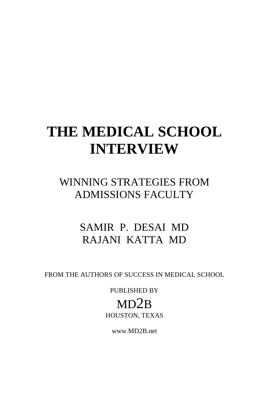## WINNING STRATEGIES FROM ADMISSIONS FACULTY

## SAMIR P. DESAI MD RAJANI KATTA MD

FROM THE AUTHORS OF SUCCESS IN MEDICAL SCHOOL

PUBLISHED BY

### MD2B HOUSTON, TEXAS

www.MD2B.net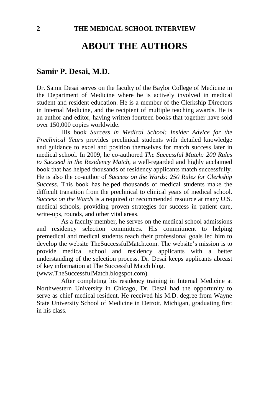### **ABOUT THE AUTHORS**

### **Samir P. Desai, M.D.**

Dr. Samir Desai serves on the faculty of the Baylor College of Medicine in the Department of Medicine where he is actively involved in medical student and resident education. He is a member of the Clerkship Directors in Internal Medicine, and the recipient of multiple teaching awards. He is an author and editor, having written fourteen books that together have sold over 150,000 copies worldwide.

His book *Success in Medical School: Insider Advice for the Preclinical Years* provides preclinical students with detailed knowledge and guidance to excel and position themselves for match success later in medical school. In 2009, he co-authored *The Successful Match: 200 Rules to Succeed in the Residency Match*, a well-regarded and highly acclaimed book that has helped thousands of residency applicants match successfully. He is also the co-author of *Success on the Wards: 250 Rules for Clerkship Success*. This book has helped thousands of medical students make the difficult transition from the preclinical to clinical years of medical school. *Success on the Wards* is a required or recommended resource at many U.S. medical schools, providing proven strategies for success in patient care, write-ups, rounds, and other vital areas.

As a faculty member, he serves on the medical school admissions and residency selection committees. His commitment to helping premedical and medical students reach their professional goals led him to develop the website TheSuccessfulMatch.com. The website's mission is to provide medical school and residency applicants with a better understanding of the selection process. Dr. Desai keeps applicants abreast of key information at The Successful Match blog.

(www.TheSuccessfulMatch.blogspot.com).

After completing his residency training in Internal Medicine at Northwestern University in Chicago, Dr. Desai had the opportunity to serve as chief medical resident. He received his M.D. degree from Wayne State University School of Medicine in Detroit, Michigan, graduating first in his class.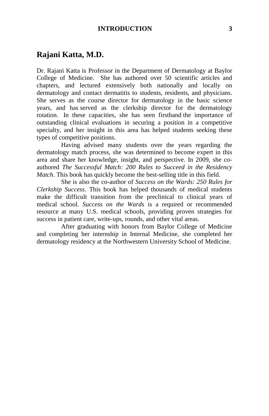#### **INTRODUCTION 3**

### **Rajani Katta, M.D.**

Dr. Rajani Katta is Professor in the Department of Dermatology at Baylor College of Medicine. She has authored over 50 scientific articles and chapters, and lectured extensively both nationally and locally on dermatology and contact dermatitis to students, residents, and physicians. She serves as the course director for dermatology in the basic science years, and has served as the clerkship director for the dermatology rotation. In these capacities, she has seen firsthand the importance of outstanding clinical evaluations in securing a position in a competitive specialty, and her insight in this area has helped students seeking these types of competitive positions.

Having advised many students over the years regarding the dermatology match process, she was determined to become expert in this area and share her knowledge, insight, and perspective. In 2009, she coauthored *The Successful Match: 200 Rules to Succeed in the Residency Match*. This book has quickly become the best-selling title in this field.

She is also the co-author of *Success on the Wards: 250 Rules for Clerkship Success*. This book has helped thousands of medical students make the difficult transition from the preclinical to clinical years of medical school. *Success on the Wards* is a required or recommended resource at many U.S. medical schools, providing proven strategies for success in patient care, write-ups, rounds, and other vital areas.

After graduating with honors from Baylor College of Medicine and completing her internship in Internal Medicine, she completed her dermatology residency at the Northwestern University School of Medicine.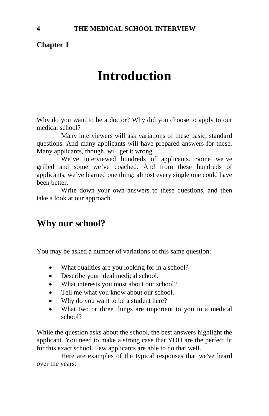### **Chapter 1**

## **Introduction**

Why do you want to be a doctor? Why did you choose to apply to our medical school?

Many interviewers will ask variations of these basic, standard questions. And many applicants will have prepared answers for these. Many applicants, though, will get it wrong.

We've interviewed hundreds of applicants. Some we've grilled and some we've coached. And from these hundreds of applicants, we've learned one thing: almost every single one could have been better.

Write down your own answers to these questions, and then take a look at our approach.

### **Why our school?**

You may be asked a number of variations of this same question:

- What qualities are you looking for in a school?
- Describe your ideal medical school.
- What interests you most about our school?
- Tell me what you know about our school.
- Why do you want to be a student here?
- What two or three things are important to you in a medical school?

While the question asks about the school, the best answers highlight the applicant. You need to make a strong case that YOU are the perfect fit for this exact school. Few applicants are able to do that well.

Here are examples of the typical responses that we've heard over the years: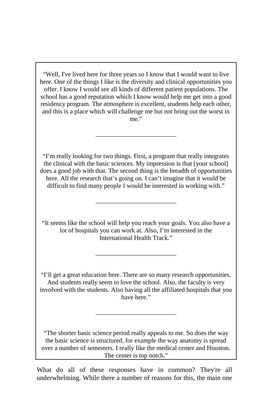"Well, I've lived here for three years so I know that I would want to live here. One of the things I like is the diversity and clinical opportunities you offer. I know I would see all kinds of different patient populations. The school has a good reputation which I know would help me get into a good residency program. The atmosphere is excellent, students help each other, and this is a place which will challenge me but not bring out the worst in me."

"I'm really looking for two things. First, a program that really integrates the clinical with the basic sciences. My impression is that [your school] does a good job with that. The second thing is the breadth of opportunities here. All the research that's going on. I can't imagine that it would be difficult to find many people I would be interested in working with."

\_\_\_\_\_\_\_\_\_\_\_\_\_\_\_\_\_\_\_\_\_\_\_\_\_

"It seems like the school will help you reach your goals. You also have a lot of hospitals you can work at. Also, I'm interested in the International Health Track."

\_\_\_\_\_\_\_\_\_\_\_\_\_\_\_\_\_\_\_\_\_\_\_\_\_

\_\_\_\_\_\_\_\_\_\_\_\_\_\_\_\_\_\_\_\_\_\_\_\_\_

"I'll get a great education here. There are so many research opportunities. And students really seem to love the school. Also, the faculty is very involved with the students. Also having all the affiliated hospitals that you have here."

\_\_\_\_\_\_\_\_\_\_\_\_\_\_\_\_\_\_\_\_\_\_\_\_\_

"The shorter basic science period really appeals to me. So does the way the basic science is structured, for example the way anatomy is spread over a number of semesters. I really like the medical center and Houston. The center is top notch."

What do all of these responses have in common? They're all underwhelming. While there a number of reasons for this, the main one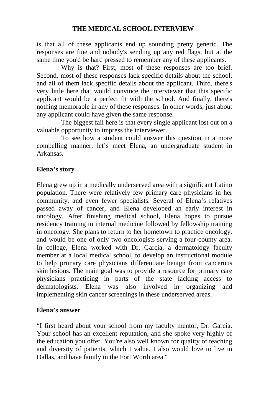is that all of these applicants end up sounding pretty generic. The responses are fine and nobody's sending up any red flags, but at the same time you'd be hard pressed to remember any of these applicants.

Why is that? First, most of these responses are too brief. Second, most of these responses lack specific details about the school, and all of them lack specific details about the applicant. Third, there's very little here that would convince the interviewer that this specific applicant would be a perfect fit with the school. And finally, there's nothing memorable in any of these responses. In other words, just about any applicant could have given the same response.

The biggest fail here is that every single applicant lost out on a valuable opportunity to impress the interviewer.

To see how a student could answer this question in a more compelling manner, let's meet Elena, an undergraduate student in Arkansas.

### **Elena's story**

Elena grew up in a medically underserved area with a significant Latino population. There were relatively few primary care physicians in her community, and even fewer specialists. Several of Elena's relatives passed away of cancer, and Elena developed an early interest in oncology. After finishing medical school, Elena hopes to pursue residency training in internal medicine followed by fellowship training in oncology. She plans to return to her hometown to practice oncology, and would be one of only two oncologists serving a four-county area. In college, Elena worked with Dr. Garcia, a dermatology faculty member at a local medical school, to develop an instructional module to help primary care physicians differentiate benign from cancerous skin lesions. The main goal was to provide a resource for primary care physicians practicing in parts of the state lacking access to dermatologists. Elena was also involved in organizing and implementing skin cancer screenings in these underserved areas.

#### **Elena's answer**

"I first heard about your school from my faculty mentor, Dr. Garcia. Your school has an excellent reputation, and she spoke very highly of the education you offer. You're also well known for quality of teaching and diversity of patients, which I value. I also would love to live in Dallas, and have family in the Fort Worth area."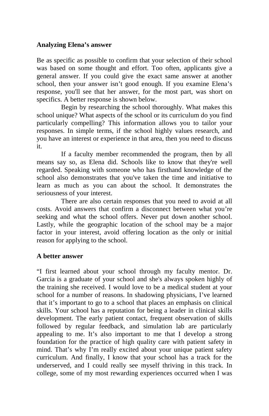### **Analyzing Elena's answer**

Be as specific as possible to confirm that your selection of their school was based on some thought and effort. Too often, applicants give a general answer. If you could give the exact same answer at another school, then your answer isn't good enough. If you examine Elena's response, you'll see that her answer, for the most part, was short on specifics. A better response is shown below.

Begin by researching the school thoroughly. What makes this school unique? What aspects of the school or its curriculum do you find particularly compelling? This information allows you to tailor your responses. In simple terms, if the school highly values research, and you have an interest or experience in that area, then you need to discuss it.

If a faculty member recommended the program, then by all means say so, as Elena did. Schools like to know that they're well regarded. Speaking with someone who has firsthand knowledge of the school also demonstrates that you've taken the time and initiative to learn as much as you can about the school. It demonstrates the seriousness of your interest.

There are also certain responses that you need to avoid at all costs. Avoid answers that confirm a disconnect between what you're seeking and what the school offers. Never put down another school. Lastly, while the geographic location of the school may be a major factor in your interest, avoid offering location as the only or initial reason for applying to the school.

#### **A better answer**

"I first learned about your school through my faculty mentor. Dr. Garcia is a graduate of your school and she's always spoken highly of the training she received. I would love to be a medical student at your school for a number of reasons. In shadowing physicians, I've learned that it's important to go to a school that places an emphasis on clinical skills. Your school has a reputation for being a leader in clinical skills development. The early patient contact, frequent observation of skills followed by regular feedback, and simulation lab are particularly appealing to me. It's also important to me that I develop a strong foundation for the practice of high quality care with patient safety in mind. That's why I'm really excited about your unique patient safety curriculum. And finally, I know that your school has a track for the underserved, and I could really see myself thriving in this track. In college, some of my most rewarding experiences occurred when I was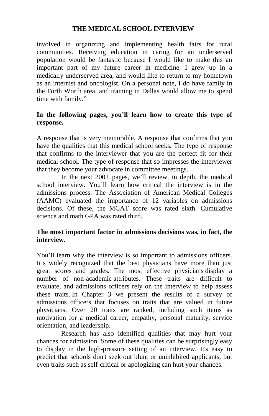involved in organizing and implementing health fairs for rural communities. Receiving education in caring for an underserved population would be fantastic because I would like to make this an important part of my future career in medicine. I grew up in a medically underserved area, and would like to return to my hometown as an internist and oncologist. On a personal note, I do have family in the Forth Worth area, and training in Dallas would allow me to spend time with family."

### **In the following pages, you'll learn how to create this type of response.**

A response that is very memorable. A response that confirms that you have the qualities that this medical school seeks. The type of response that confirms to the interviewer that you are the perfect fit for their medical school. The type of response that so impresses the interviewer that they become your advocate in committee meetings.

In the next 200+ pages, we'll review, in depth, the medical school interview. You'll learn how critical the interview is in the admissions process. The Association of American Medical Colleges (AAMC) evaluated the importance of 12 variables on admissions decisions. Of these, the MCAT score was rated sixth. Cumulative science and math GPA was rated third.

### **The most important factor in admissions decisions was, in fact, the interview.**

You'll learn why the interview is so important to admissions officers. It's widely recognized that the best physicians have more than just great scores and grades. The most effective physicians display a number of non-academic attributes. These traits are difficult to evaluate, and admissions officers rely on the interview to help assess these traits. In Chapter 3 we present the results of a survey of admissions officers that focuses on traits that are valued in future physicians. Over 20 traits are ranked, including such items as motivation for a medical career, empathy, personal maturity, service orientation, and leadership.

Research has also identified qualities that may hurt your chances for admission. Some of these qualities can be surprisingly easy to display in the high-pressure setting of an interview. It's easy to predict that schools don't seek out blunt or uninhibited applicants, but even traits such as self-critical or apologizing can hurt your chances.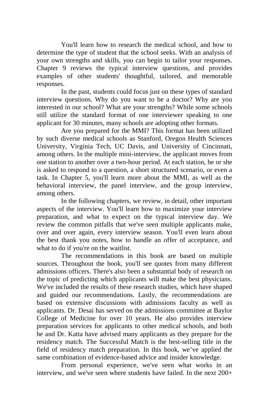You'll learn how to research the medical school, and how to determine the type of student that the school seeks. With an analysis of your own strengths and skills, you can begin to tailor your responses. Chapter 9 reviews the typical interview questions, and provides examples of other students' thoughtful, tailored, and memorable responses.

In the past, students could focus just on these types of standard interview questions. Why do you want to be a doctor? Why are you interested in our school? What are your strengths? While some schools still utilize the standard format of one interviewer speaking to one applicant for 30 minutes, many schools are adopting other formats.

Are you prepared for the MMI? This format has been utilized by such diverse medical schools as Stanford, Oregon Health Sciences University, Virginia Tech, UC Davis, and University of Cincinnati, among others. In the multiple mini-interview, the applicant moves from one station to another over a two-hour period. At each station, he or she is asked to respond to a question, a short structured scenario, or even a task. In Chapter 5, you'll learn more about the MMI, as well as the behavioral interview, the panel interview, and the group interview, among others.

In the following chapters, we review, in detail, other important aspects of the interview. You'll learn how to maximize your interview preparation, and what to expect on the typical interview day. We review the common pitfalls that we've seen multiple applicants make, over and over again, every interview season. You'll even learn about the best thank you notes, how to handle an offer of acceptance, and what to do if you're on the waitlist.

The recommendations in this book are based on multiple sources. Throughout the book, you'll see quotes from many different admissions officers. There's also been a substantial body of research on the topic of predicting which applicants will make the best physicians. We've included the results of these research studies, which have shaped and guided our recommendations. Lastly, the recommendations are based on extensive discussions with admissions faculty as well as applicants. Dr. Desai has served on the admissions committee at Baylor College of Medicine for over 10 years. He also provides interview preparation services for applicants to other medical schools, and both he and Dr. Katta have advised many applicants as they prepare for the residency match. The Successful Match is the best-selling title in the field of residency match preparation. In this book, we've applied the same combination of evidence-based advice and insider knowledge.

From personal experience, we've seen what works in an interview, and we've seen where students have failed. In the next 200+